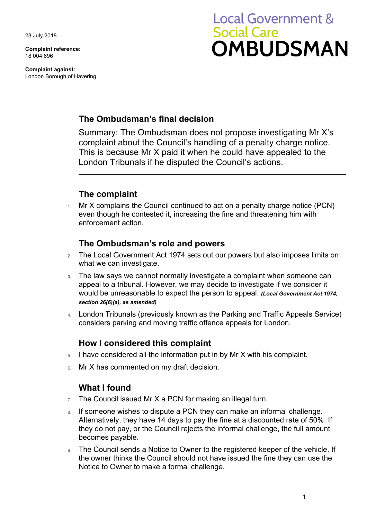23 July 2018

**Complaint reference:**  18 004 696

**Complaint against:**  London Borough of Havering

# **Local Government & Social Care OMBUDSMAN**

## **The Ombudsman's final decision**

Summary: The Ombudsman does not propose investigating Mr X's complaint about the Council's handling of a penalty charge notice. This is because Mr X paid it when he could have appealed to the London Tribunals if he disputed the Council's actions.

# **The complaint**

1. Mr X complains the Council continued to act on a penalty charge notice (PCN) even though he contested it, increasing the fine and threatening him with enforcement action.

#### **The Ombudsman's role and powers**

- 2. The Local Government Act 1974 sets out our powers but also imposes limits on what we can investigate.
- **3.** The law says we cannot normally investigate a complaint when someone can appeal to a tribunal. However, we may decide to investigate if we consider it would be unreasonable to expect the person to appeal. *(Local Government Act 1974, section 26(6)(a), as amended)*
- 4. London Tribunals (previously known as the Parking and Traffic Appeals Service) considers parking and moving traffic offence appeals for London.

## **How I considered this complaint**

- 5. I have considered all the information put in by Mr X with his complaint.
- 6. Mr X has commented on my draft decision.

## **What I found**

- $7.$  The Council issued Mr X a PCN for making an illegal turn.
- 8. If someone wishes to dispute a PCN they can make an informal challenge. Alternatively, they have 14 days to pay the fine at a discounted rate of 50%. If they do not pay, or the Council rejects the informal challenge, the full amount becomes payable.
- Notice to Owner to make a formal challenge. 9. The Council sends a Notice to Owner to the registered keeper of the vehicle. If the owner thinks the Council should not have issued the fine they can use the